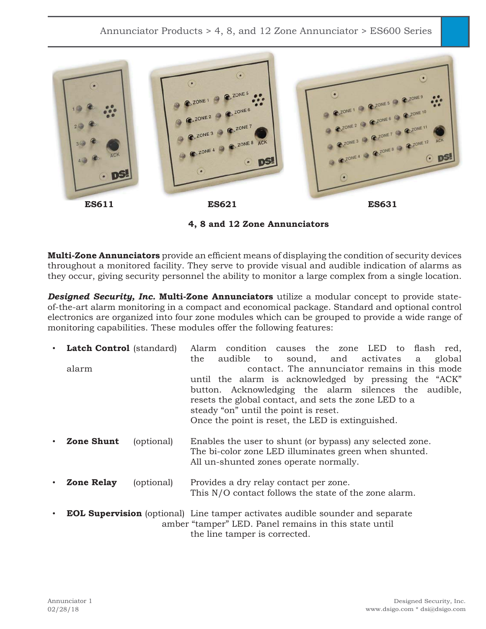

**4, 8 and 12 Zone Annunciators**

**Multi-Zone Annunciators** provide an efficient means of displaying the condition of security devices throughout a monitored facility. They serve to provide visual and audible indication of alarms as they occur, giving security personnel the ability to monitor a large complex from a single location.

*Designed Security, Inc.* **Multi-Zone Annunciators** utilize a modular concept to provide stateof-the-art alarm monitoring in a compact and economical package. Standard and optional control electronics are organized into four zone modules which can be grouped to provide a wide range of monitoring capabilities. These modules offer the following features:

|       | <b>Latch Control</b> (standard) | Alarm condition causes the zone LED to flash red,<br>audible to sound, and activates<br>global<br>the<br>a                                                                                                                                                                                                             |
|-------|---------------------------------|------------------------------------------------------------------------------------------------------------------------------------------------------------------------------------------------------------------------------------------------------------------------------------------------------------------------|
| alarm |                                 | contact. The annunciator remains in this mode<br>until the alarm is acknowledged by pressing the "ACK"<br>button. Acknowledging the alarm silences the audible,<br>resets the global contact, and sets the zone LED to a<br>steady "on" until the point is reset.<br>Once the point is reset, the LED is extinguished. |
|       | Zone Shunt<br>(optional)        | Enables the user to shunt (or bypass) any selected zone.<br>The bi-color zone LED illuminates green when shunted.<br>All un-shunted zones operate normally.                                                                                                                                                            |
|       | <b>Zone Relay</b><br>(optional) | Provides a dry relay contact per zone.<br>This N/O contact follows the state of the zone alarm.                                                                                                                                                                                                                        |
|       |                                 | <b>EOL Supervision</b> (optional) Line tamper activates audible sounder and separate<br>amber "tamper" LED. Panel remains in this state until                                                                                                                                                                          |

the line tamper is corrected.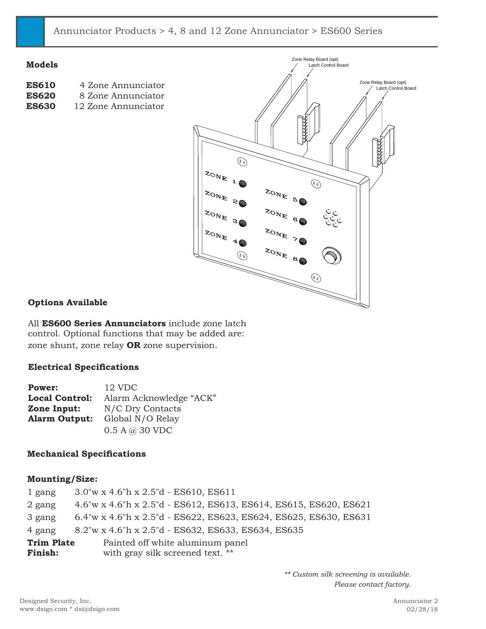**Models**

| <b>ES610</b> | 4 Zone Annunciator  |
|--------------|---------------------|
| <b>ES620</b> | 8 Zone Annunciator  |
| <b>ES630</b> | 12 Zone Annunciator |



# **Options Available**

All **ES600 Series Annunciators** include zone latch control. Optional functions that may be added are: zone shunt, zone relay **OR** zone supervision.

### **Electrical Specifications**

| Power:                | 12 VDC                  |
|-----------------------|-------------------------|
| <b>Local Control:</b> | Alarm Acknowledge "ACK" |
| Zone Input:           | N/C Dry Contacts        |
| <b>Alarm Output:</b>  | Global N/O Relay        |
|                       | 0.5 A @ 30 VDC          |

## **Mechanical Specifications**

### **Mounting/Size:**

| 1 gang            | $3.0''$ w x 4.6"h x 2.5"d - ES610, ES611                         |
|-------------------|------------------------------------------------------------------|
| 2 gang            | 4.6"w x 4.6"h x 2.5"d - ES612, ES613, ES614, ES615, ES620, ES621 |
| 3 gang            | 6.4"w x 4.6"h x 2.5"d - ES622, ES623, ES624, ES625, ES630, ES631 |
| 4 gang            | 8.2"w x 4.6"h x 2.5"d - ES632, ES633, ES634, ES635               |
| <b>Trim Plate</b> | Painted off white aluminum panel                                 |
| Finish:           | with gray silk screened text. **                                 |

*\*\* Custom silk screening is available. Please contact factory.*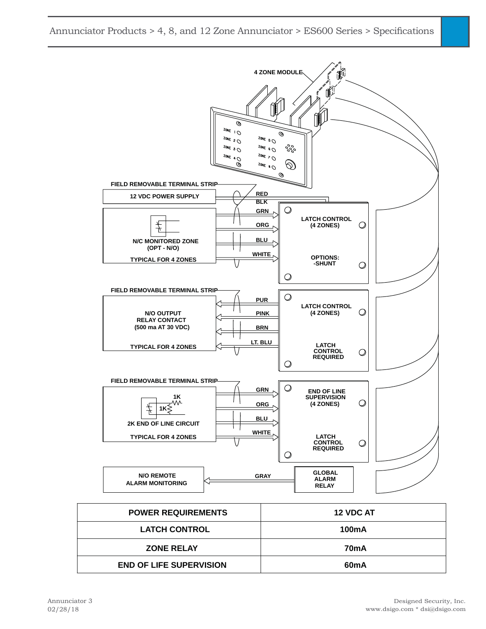| <b>N/O REMOTE</b><br><b>ALARM MONITORING</b> | ------<br><b>GRAY</b><br><b>ALARM</b><br><b>RELAY</b> |
|----------------------------------------------|-------------------------------------------------------|
| <b>POWER REQUIREMENTS</b>                    | 12 VDC AT                                             |
| <b>LATCH CONTROL</b>                         | <b>100mA</b>                                          |
| <b>ZONE RELAY</b>                            | 70 <sub>m</sub> A                                     |
| <b>END OF LIFE SUPERVISION</b>               | 60 <sub>m</sub> A                                     |



Annunciator Products > 4, 8, and 12 Zone Annunciator > ES600 Series > Specifications